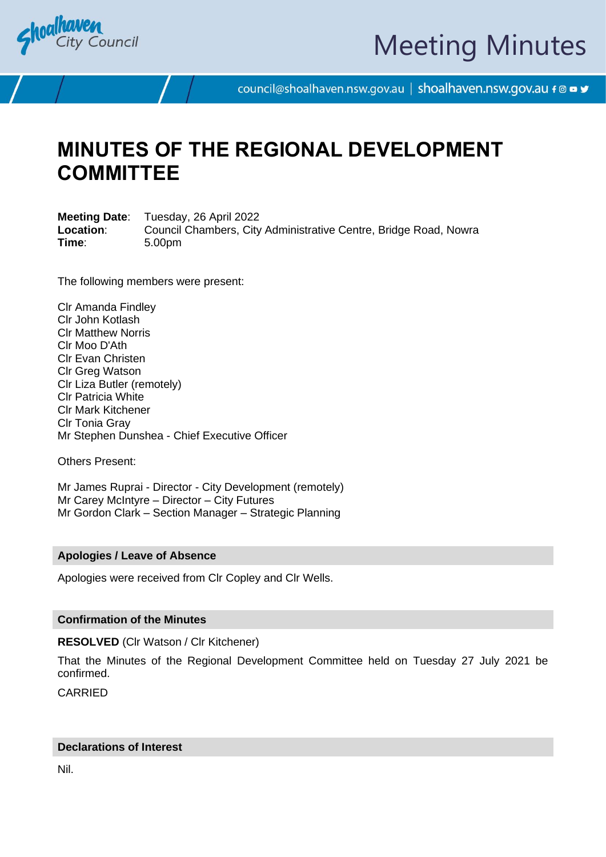

# Meeting Minutes

council@shoalhaven.nsw.gov.au | shoalhaven.nsw.gov.au f @ ■ y

## **MINUTES OF THE REGIONAL DEVELOPMENT COMMITTEE**

**Meeting Date**: Tuesday, 26 April 2022 **Location**: Council Chambers, City Administrative Centre, Bridge Road, Nowra **Time**: 5.00pm

The following members were present:

Clr Amanda Findley Clr John Kotlash Clr Matthew Norris Clr Moo D'Ath Clr Evan Christen Clr Greg Watson Clr Liza Butler (remotely) Clr Patricia White Clr Mark Kitchener Clr Tonia Gray Mr Stephen Dunshea - Chief Executive Officer

Others Present:

Mr James Ruprai - Director - City Development (remotely) Mr Carey McIntyre – Director – City Futures Mr Gordon Clark – Section Manager – Strategic Planning

#### **Apologies / Leave of Absence**

Apologies were received from Clr Copley and Clr Wells.

#### **Confirmation of the Minutes**

**RESOLVED** (Clr Watson / Clr Kitchener)

That the Minutes of the Regional Development Committee held on Tuesday 27 July 2021 be confirmed.

CARRIED

#### **Declarations of Interest**

Nil.